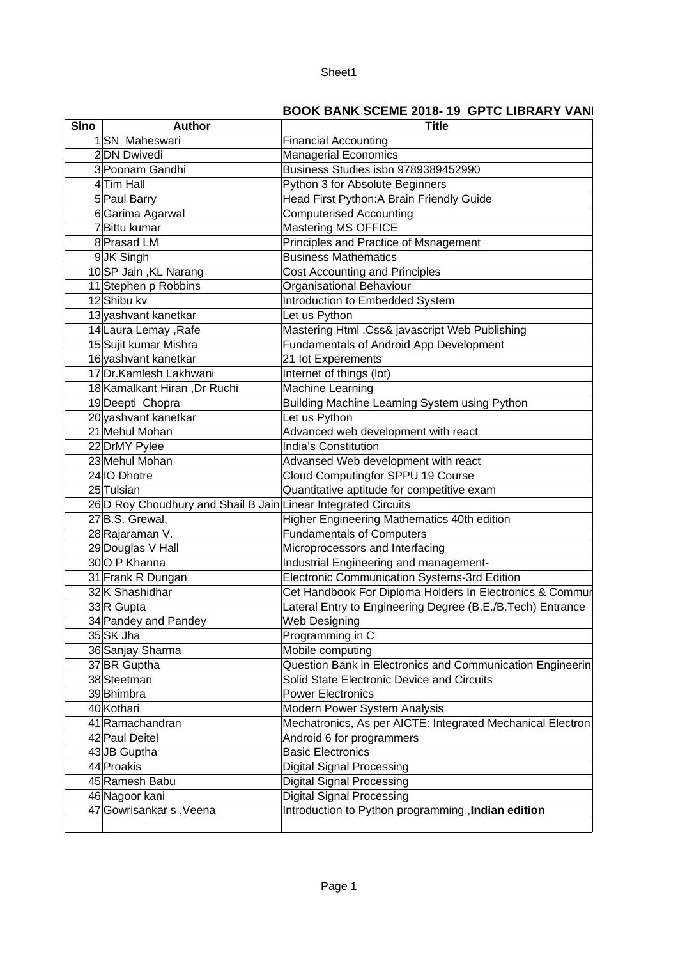## Sheet1

## **BOOK BANK SCEME 2018-19 GPTC LIBRARY VANI**

| <b>SIno</b> | <b>Author</b>                                                  | <b>Title</b>                                                     |
|-------------|----------------------------------------------------------------|------------------------------------------------------------------|
|             | 1SN Maheswari                                                  | <b>Financial Accounting</b>                                      |
|             | 2DN Dwivedi                                                    | <b>Managerial Economics</b>                                      |
|             | 3 Poonam Gandhi                                                | Business Studies isbn 9789389452990                              |
|             | 4Tim Hall                                                      | Python 3 for Absolute Beginners                                  |
|             | 5 Paul Barry                                                   | Head First Python: A Brain Friendly Guide                        |
|             | 6Garima Agarwal                                                | <b>Computerised Accounting</b>                                   |
|             | 7Bittu kumar                                                   | Mastering MS OFFICE                                              |
|             | 8 Prasad LM                                                    | Principles and Practice of Msnagement                            |
|             | 9JK Singh                                                      | <b>Business Mathematics</b>                                      |
|             | 10SP Jain, KL Narang                                           | Cost Accounting and Principles                                   |
|             | 11 Stephen p Robbins                                           | Organisational Behaviour                                         |
|             | 12 Shibu kv                                                    | Introduction to Embedded System                                  |
|             | 13 yashvant kanetkar                                           | Let us Python                                                    |
|             | 14 Laura Lemay, Rafe                                           | Mastering Html , Css& javascript Web Publishing                  |
|             | 15 Sujit kumar Mishra                                          | Fundamentals of Android App Development                          |
|             | 16 yashvant kanetkar                                           | 21 lot Experements                                               |
|             | 17 Dr. Kamlesh Lakhwani                                        | Internet of things (lot)                                         |
|             | 18 Kamalkant Hiran, Dr Ruchi                                   | Machine Learning                                                 |
|             | 19 Deepti Chopra                                               | Building Machine Learning System using Python                    |
|             | 20 yashvant kanetkar                                           | Let us Python                                                    |
|             | 21 Mehul Mohan                                                 | Advanced web development with react                              |
|             | 22 DrMY Pylee                                                  | India's Constitution                                             |
|             | 23 Mehul Mohan                                                 | Advansed Web development with react                              |
|             | 24 IO Dhotre                                                   | Cloud Computingfor SPPU 19 Course                                |
|             | 25 Tulsian                                                     | Quantitative aptitude for competitive exam                       |
|             | 26 D Roy Choudhury and Shail B Jain Linear Integrated Circuits |                                                                  |
|             | 27B.S. Grewal,                                                 | Higher Engineering Mathematics 40th edition                      |
|             | 28 Rajaraman V.                                                | <b>Fundamentals of Computers</b>                                 |
|             | 29 Douglas V Hall                                              | Microprocessors and Interfacing                                  |
|             | 30O P Khanna                                                   | Industrial Engineering and management-                           |
|             | 31 Frank R Dungan                                              | Electronic Communication Systems-3rd Edition                     |
|             | 32K Shashidhar                                                 | Cet Handbook For Diploma Holders In Electronics & Commur         |
|             | 33R Gupta                                                      | Lateral Entry to Engineering Degree (B.E./B.Tech) Entrance       |
|             | 34 Pandey and Pandey                                           | Web Designing                                                    |
|             | 35 SK Jha                                                      | Programming in C                                                 |
|             | 36 Sanjay Sharma                                               | Mobile computing                                                 |
|             | 37BR Guptha                                                    | <b>Question Bank in Electronics and Communication Engineerin</b> |
|             | 38 Steetman                                                    | Solid State Electronic Device and Circuits                       |
|             | 39 Bhimbra                                                     | <b>Power Electronics</b>                                         |
|             | 40 Kothari                                                     | Modern Power System Analysis                                     |
|             | 41 Ramachandran                                                | Mechatronics, As per AICTE: Integrated Mechanical Electron       |
|             | 42 Paul Deitel                                                 | Android 6 for programmers                                        |
|             | 43JB Guptha                                                    | <b>Basic Electronics</b>                                         |
|             | 44 Proakis                                                     | <b>Digital Signal Processing</b>                                 |
|             | 45 Ramesh Babu                                                 | Digital Signal Processing                                        |
|             | 46 Nagoor kani                                                 | Digital Signal Processing                                        |
|             | 47 Gowrisankar s, Veena                                        | Introduction to Python programming, Indian edition               |
|             |                                                                |                                                                  |